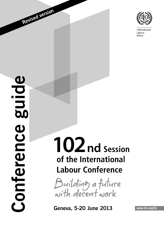

International Labour Office

Revised version

# 102 nd Session of the International **Labour Conference**

Building a future<br>with decent work

Geneva, 5-20 June 2013 WWW.ilo.org/ilc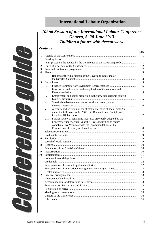# **International Labour Organization**

## *102nd Session of the International Labour Conference Geneva, 5–20 June 2013 Building a future with decent work*

## *Contents*

| 1.  |      |                                                                      |  |  |  |
|-----|------|----------------------------------------------------------------------|--|--|--|
|     |      |                                                                      |  |  |  |
|     |      | Items placed on the agenda by the Conference or the Governing Body   |  |  |  |
| 2.  |      |                                                                      |  |  |  |
| 3.  |      |                                                                      |  |  |  |
| 4.  |      |                                                                      |  |  |  |
|     | L.   | Reports of the Chairperson of the Governing Body and of              |  |  |  |
|     |      |                                                                      |  |  |  |
|     |      |                                                                      |  |  |  |
|     | П.   |                                                                      |  |  |  |
|     | Ш.   | Information and reports on the application of Conventions and        |  |  |  |
|     |      |                                                                      |  |  |  |
|     | IV.  | Employment and social protection in the new demographic context -    |  |  |  |
|     |      |                                                                      |  |  |  |
|     | V.   | Sustainable development, decent work and green jobs -                |  |  |  |
|     |      |                                                                      |  |  |  |
|     | VI.  | A recurrent discussion on the strategic objective of social dialogue |  |  |  |
|     |      | under the follow-up to the 2008 ILO Declaration on Social Justice    |  |  |  |
|     |      |                                                                      |  |  |  |
|     | VII. | Further review of remaining measures previously adopted by the       |  |  |  |
|     |      | Conference under article 33 of the ILO Constitution to secure        |  |  |  |
|     |      | compliance by Myanmar with the recommendations of the                |  |  |  |
|     |      |                                                                      |  |  |  |
|     |      |                                                                      |  |  |  |
|     |      |                                                                      |  |  |  |
| 6.  |      |                                                                      |  |  |  |
| 7.  |      |                                                                      |  |  |  |
| 8.  |      |                                                                      |  |  |  |
|     |      |                                                                      |  |  |  |
|     |      |                                                                      |  |  |  |
| 10. |      |                                                                      |  |  |  |
|     |      |                                                                      |  |  |  |
|     |      |                                                                      |  |  |  |
|     |      |                                                                      |  |  |  |
|     |      |                                                                      |  |  |  |
|     |      |                                                                      |  |  |  |
|     |      |                                                                      |  |  |  |
|     |      |                                                                      |  |  |  |
|     |      |                                                                      |  |  |  |
|     |      |                                                                      |  |  |  |
|     |      |                                                                      |  |  |  |
|     |      |                                                                      |  |  |  |
|     |      |                                                                      |  |  |  |
|     |      |                                                                      |  |  |  |
|     |      |                                                                      |  |  |  |
|     |      |                                                                      |  |  |  |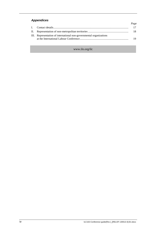## *Appendices*

|                                                                     | Page |
|---------------------------------------------------------------------|------|
|                                                                     |      |
|                                                                     |      |
| III. Representation of international non-governmental organizations | 19   |

www.ilo.org/ilc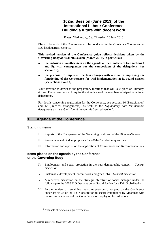## **102nd Session (June 2013) of the International Labour Conference Building a future with decent work**

**Dates:** Wednesday, 5 to Thursday, 20 June 2013

**Place:** The work of the Conference will be conducted in the *Palais des Nations* and at ILO headquarters, Geneva.

**This revised version of the Conference guide reflects decisions taken by the Governing Body at its 317th Session (March 2013), in particular:**

- **the inclusion of another item on the agenda of the Conference (see sections 1 and 5), with consequences for the composition of the delegations (see section 10);**
- **■ the proposal to implement certain changes with a view to improving the functioning of the Conference, for trial implementation at its 102nd Session (see sections 7 and 8).**

Your attention is drawn to the preparatory meetings that will take place on Tuesday, 4 June. These meetings will require the attendance of the members of tripartite national delegations.

For details concerning registration for the Conference, see sections 10 (Participation) and 12 (Practical arrangements), as well as the *Explanatory note for national delegations on the submission of credentials* (revised version). <sup>1</sup>

## <span id="page-4-0"></span>**1. Agenda of the Conference**

## <span id="page-4-1"></span>**Standing items**

- I. Reports of the Chairperson of the Governing Body and of the Director-General
- II. Programme and Budget proposals for 2014–15 and other questions
- III. Information and reports on the application of Conventions and Recommendations

## <span id="page-4-2"></span>**Items placed on the agenda by the Conference or the Governing Body**

- IV. Employment and social protection in the new demographic context *General discussion*
- V. Sustainable development, decent work and green jobs *General discussion*
- VI. A recurrent discussion on the strategic objective of social dialogue under the follow-up to the 2008 ILO Declaration on Social Justice for a Fair Globalization
- VII. Further review of remaining measures previously adopted by the Conference under article 33 of the ILO Constitution to secure compliance by Myanmar with the recommendations of the Commission of Inquiry on forced labour

 $<sup>1</sup>$  Available at: www.ilo.org/ilc/credentials.</sup>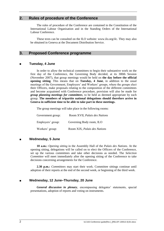## <span id="page-5-0"></span>**2. Rules of procedure of the Conference**

The rules of procedure of the Conference are contained in the Constitution of the International Labour Organisation and in the Standing Orders of the International Labour Conference.

These texts can be consulted on the ILO website: www.ilo.org/ilc. They may also be obtained in Geneva at the Document Distribution Service.

## <span id="page-5-1"></span>**3. Proposed Conference programme**

#### **Tuesday, 4 June**

In order to allow the technical committees to begin their substantive work on the first day of the Conference, the Governing Body decided, at its 300th Session (November 2007), that group meetings would be held on **the day before the official opening sitting**. This means that on **Tuesday, 4 June**, in addition to the usual meetings of the Government, Employers' and Workers' groups, where the groups elect their Officers, make proposals relating to the composition of the different committees and become acquainted with Conference procedure, provision will also be made for *group planning meetings for committees*, to be held as deemed appropriate by each group. **The members of tripartite national delegations should therefore arrive in Geneva in sufficient time to be able to take part in these meetings.**

The group meetings will take place in the following rooms:

Government group: Room XVII, *Palais des Nations* Employers' group: Governing Body room, ILO Workers' group: Room XIX, *Palais des Nations*

## **Wednesday, 5 June**

**10 a.m.:** *Opening sitting* in the Assembly Hall of the *Palais des Nations*. At the opening sitting, delegations will be called on to elect the Officers of the Conference, set up the various committees and take other decisions as needed. The *Selection Committee* will meet immediately after the opening sitting of the Conference to take decisions concerning arrangements for the Conference.

**2.30 p.m.:** *Committees* may start their work. Committee sittings continue until adoption of their reports at the end of the second week, or beginning of the third week.

## **Wednesday, 12 June–Thursday, 20 June**

*General discussion in plenary*, encompassing delegates' statements, special presentations, adoption of reports and voting on instruments.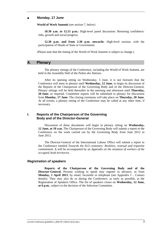#### **Monday, 17 June**

**World of Work Summit** (see section 7, below)

**10.30 a.m. to 12.15 p.m.:** High-level panel discussion: Restoring confidence: Jobs, growth and social progress.

**12.30 p.m. and from 2.30 p.m. onwards:** High-level session, with the participation of Heads of State or Government.

(Please note that the timing of the World of Work Summit is subject to change.)

## <span id="page-6-0"></span>**4. Plenary**

The plenary sittings of the Conference, including the World of Work Summit, are held in the Assembly Hall of the *Palais des Nations*.

After its opening sitting on Wednesday, 5 June, it is not foreseen that the Conference will meet in plenary until **Wednesday, 12 June**, to begin its discussion of the Reports of the Chairperson of the Governing Body and of the Director-General. Plenary sittings will be held thereafter in the morning and afternoon until **Thursday, 20 June**, as required. Committee reports will be submitted to plenary for discussion from **Monday, 17 June**. The closing ceremony will take place on **Thursday, 20 June**. At all events, a plenary sitting of the Conference may be called at any other time, if necessary.

## <span id="page-6-1"></span>**I. Reports of the Chairperson of the Governing Body and of the Director-General**

Discussion of these documents will begin in plenary sitting on **Wednesday, 12 June, at 10 a.m.** The Chairperson of the Governing Body will submit a report to the Conference on the work carried out by the Governing Body from June 2012 to June 2013.

The Director-General of the International Labour Office will submit a report to the Conference entitled *Towards the ILO centenary: Realities, renewal and tripartite commitment*. It will be accompanied by an *Appendix on the situation of workers of the occupied Arab territories.*

#### *Registration of speakers*

**Reports of the Chairperson of the Governing Body and of the Director-General.** Persons wishing to speak may register in advance, as from **Monday, 1 April 2013**, by email, facsimile or telephone (see Appendix I – Contact details). They may also do so during the Conference, as early as possible, at the Registration of Speakers Office. The list of speakers closes on **Wednesday, 12 June, at 6 p.m.**, subject to the decision of the Selection Committee.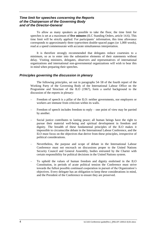## *Time limit for speeches concerning the Reports of the Chairperson of the Governing Body and of the Director-General*

To allow as many speakers as possible to take the floor, the time limit for speeches is set at a maximum of **five minutes** (ILC Standing Orders, article 14.6). This time limit will be strictly applied. For participants' information, this time allowance corresponds to approximately three typewritten double-spaced pages (or 1,000 words), read at a speed commensurate with accurate simultaneous interpretation.

It is therefore strongly recommended that delegates reduce courtesies to a minimum, so as to enter into the substantive elements of their statements without delay. Visiting ministers, delegates, observers and representatives of international organizations and international non-governmental organizations will wish to bear this in mind when preparing their speeches.

## *Principles governing the discussion in plenary*

The following principles, set out in paragraphs 54–58 of the fourth report of the Working Party of the Governing Body of the International Labour Office on the Programme and Structure of the ILO (1967), form a useful background to the discussion of the reports in plenary:

- Freedom of speech is a pillar of the ILO: neither governments, nor employers or workers are immune from criticism within its walls.
- Freedom of speech includes freedom to reply one point of view may be parried by another.
- Social justice contributes to lasting peace; all human beings have the right to pursue their material well-being and spiritual development in freedom and dignity. The breadth of these fundamental principles of the ILO makes it impossible to circumscribe debate in the International Labour Conference, and the ILO must focus on the objectives that derive from these principles, irrespective of political considerations.
- Nevertheless, the purpose and scope of debate in the International Labour Conference must not encroach on discussions proper to the United Nations Security Council and General Assembly, bodies entrusted by the Charter with certain responsibility for political decisions in the United Nations system.
- To uphold the values of human freedom and dignity enshrined in the ILO Constitution, in periods of acute political tension the Conference must strive towards the fullest possible continued cooperation in pursuit of the Organization's objectives. Every delegate has an obligation to keep these considerations in mind, and the President of the Conference to ensure they are preserved.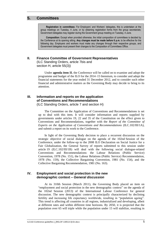## <span id="page-8-0"></span>**5. Committees**

**Registration in committees:** For Employers' and Workers' delegates, this is undertaken at the group meetings on Tuesday, 4 June, or by obtaining registration forms from the group secretariats; Government delegates may register during the Government group meeting on Tuesday, 4 June.

**Composition:** Except when provided otherwise, the initial composition of committees is decided by the Conference at its opening sitting. **Any changes must be made before 6 p.m.** to be effective for the following day. Employers and workers must make any changes through their respective groups, and Government delegates must present their changes to the Composition of Committees Office.

## <span id="page-8-1"></span>**II. Finance Committee of Government Representatives**

(ILC Standing Orders, article 7bis and section H, article 55(3))

Under **agenda item II**, the Conference will be called on to examine and adopt the programme and budget of the ILO for the 2014–15 biennium, to consider and adopt the financial statements for the year ended 31 December 2012, and to consider such other financial and administrative matters as the Governing Body may decide to bring to its attention.

## <span id="page-8-2"></span>**III. Information and reports on the application of Conventions and Recommendations**  (ILC Standing Orders, article 7 and section H)

The Committee on the Application of Conventions and Recommendations is set up to deal with this item. It will consider information and reports supplied by governments under articles 19, 22 and 35 of the Constitution on the effect given to Conventions and Recommendations, together with the *Report of the Committee of Experts on the Application of Conventions and Recommendations* (ILC.102/III/1A), and submit a report on its work to the Conference.

In light of the Governing Body decision to place a recurrent discussion on the strategic objective of social dialogue on the agenda of the 102nd Session of the Conference, under the follow-up to the 2008 ILO Declaration on Social Justice for a Fair Globalization, the General Survey of reports submitted to this session under article 19 (ILC.102/III/1B) will deal with the following social dialogue-related Conventions and Recommendations: the Labour Relations (Public Service) Convention, 1978 (No. 151), the Labour Relations (Public Service) Recommendation, 1978 (No. 159), the Collective Bargaining Convention, 1981 (No. 154), and the Collective Bargaining Recommendation, 1981 (No. 163).

## <span id="page-8-3"></span>**IV. Employment and social protection in the new demographic context –** *General discussion*

At its 310th Session (March 2011), the Governing Body placed an item on "employment and social protection in the new demographic context" on the agenda of the 102nd Session (2013) of the International Labour Conference for general discussion. The new demographic context is principally characterized by declining fertility and increasing life expectancy worldwide, resulting in "population ageing". This trend is affecting all countries in all regions, industrialized and developing, albeit at different rates and within different time horizons. By 2050, it is projected that the population over 65 will triple while the population under 15 will stabilize, resulting in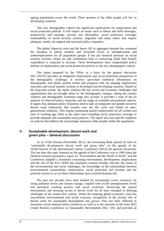ageing populations across the world. Three quarters of the older people will live in developing countries.

This new demographic context has significant implications for employment and social protection policies. It will impact on issues such as labour and skills shortages, productivity and earnings, poverty and informality, social protection coverage, sustainability of social security systems, migration and many others that require adequate, timely, far-sighted and structural policy responses.

The global financial crisis and the heavy fall in aggregate demand has worsened the situation in labour markets and increased levels of unemployment and underemployment for all population groups. It has put financial pressure on social security systems, whose tax and contribution base is contracting while their benefit expenditure is expected to increase. These developments have compounded policy debates on employment and social protection policies in the new demographic context.

The report prepared by the Office as a basis for the general discussion (ILC.102/IV) provides an integrated employment and social protection perspective to the demographic challenge. It reviews up-to-date statistical information on demographic and labour market trends and prospects that are shaping employment outcomes and social transfer systems in developed and developing countries. Based on the long-term trends, the report analyses the key social and economic challenges and opportunities that are brought about by the demographic changes, taking the country contexts and demographic transition stage into account. It provides a state of the art analysis of observed policy responses and the range of available and potential options. It argues that adequate policy responses need to take an integrated and gender-sensitive decent work framework that extends over the life cycle and builds on intergenerational solidarity. This implies promoting quality employment for all women and men of working age while at the same time extending social protection coverage to provide adequate and sustainable social policies. The report also lays specific emphasis on policies that address the increasingly numerous older people within the population.

## <span id="page-9-0"></span>**V. Sustainable development, decent work and green jobs –** *General discussion*

At its 312th Session (November 2011), the Governing Body placed an item on "sustainable development, decent work and green jobs" on the agenda of the 102nd Session of the International Labour Conference (2013) for general discussion. The last time this topic featured on the agenda of the Conference was in 1990 when the Director-General presented a report on "Environment and the World of Work" and the Conference adopted a resolution concerning environment, development, employment and the role of the ILO. While this resolution remains broadly relevant, the extent of the environmental and social challenges, the knowledge on the relationships between environmental sustainability, employment, social protection and incomes and the political resolve to act on these relationships have evolved dramatically.

The past two decades have been marked by increasingly scarce resources, by rising pollution levels and climate change, coupled with record unemployment levels and persistent working poverty and social exclusion. Preserving the natural environment and ensuring access to decent work for all have emerged as defining challenges of the twenty-first century. While the enduring global economic crisis has exacerbated environmental and social concerns, recognition of the pivotal role of decent work for sustainable development has grown. This has been reflected in numerous recent national policy initiatives as well as in the outcome of the June 2012 United Nations Conference on Sustainable Development (Rio +20), and provides an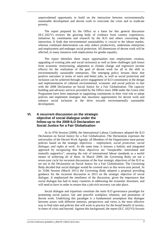unprecedented opportunity to build on the interaction between environmentally sustainable development and decent work to overcome the crisis and to eradicate poverty.

The report prepared by the Office as a basis for this general discussion (ILC.102/V) reviews the growing body of evidence from country experiences, initiatives by constituents and research by the ILO and others concerning this interaction. It finds that environmental sustainability is crucial to the labour market, whereas continued deterioration can only reduce productivity, undermine enterprises and employment and endanger social protection. All dimensions of decent work will be affected, in many instances with implications for gender equality.

The report identifies three major opportunities (net employment creation, upgrading of existing jobs and social inclusion) as well as three challenges (job losses from economic restructuring, adaptation to climate change and regressive income effects) for the realization of the goal of decent work for all in the shift to environmentally sustainable enterprises. The emerging policy lessons show that positive outcomes in terms of more and better jobs, as well as social protection and inclusion can be achieved through active engagement of ILO constituents in the design and implementation of coherent environmental, economic and social policies in line with the 2008 Declaration on Social Justice for a Fair Globalization. The capacity building and advisory services provided by the Office since 2008 under the Green Jobs Programme have been important in supporting constituents in their vital role to adopt policies and implement strategies that maximize opportunities for decent work and enhance social inclusion in the drive towards environmentally sustainable development.

## <span id="page-10-0"></span>**VI. A recurrent discussion on the strategic objective of social dialogue under the follow-up to the 2008 ILO Declaration on Social Justice for a Fair Globalization**

At its 97th Session (2008), the International Labour Conference adopted the ILO Declaration on Social Justice for a Fair Globalization. The Declaration expresses the universality of the Decent Work Agenda: all Members of the Organization must pursue policies based on the strategic objectives – *employment, social protection, social dialogue, and rights at work*. At the same time, it stresses a holistic and integrated approach by recognizing that these objectives are "inseparable, interrelated and mutually supportive", ensuring the role of international labour standards as a useful means of achieving all of them. In March 2009, the Governing Body set out a seven-year cycle for recurrent discussions of the four strategic objectives of the ILO as set out in the Declaration on Social Justice for a Fair Globalization. The Governing Body decided that social dialogue would be covered once in this seven-year period. At its 310th Session (March 2011) the Governing Body adopted a proposal providing guidance for the recurrent discussion in 2013 on the strategic objective of social dialogue. It emphasized the timeliness of the discussion, given the importance that social dialogue has had in many countries in addressing the economic downturn, and will need to have in order to ensure that a job-rich recovery can take place.

Social dialogue and tripartism constitute the main ILO governance paradigm for promoting social justice, fair and peaceful workplace relations, and promotion of decent work. Underlying this paradigm is a fundamental assumption that dialogue between actors with different interests, perspectives and views is the most effective way to find rules and policies that will work in practice for the broad benefit of society, in times of crisis and beyond. Against this background, the report (ILC.102/VI) focuses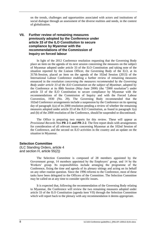on the trends, challenges and opportunities associated with actors and institutions of social dialogue through an assessment of the diverse realities and needs, in the context of globalization.

## <span id="page-11-0"></span>**VII. Further review of remaining measures previously adopted by the Conference under article 33 of the ILO Constitution to secure compliance by Myanmar with the recommendations of the Commission of Inquiry on forced labour**

In light of the 2012 Conference resolution requesting that the Governing Body place an item on the agenda of its next session concerning the measures on the subject of Myanmar adopted under article 33 of the ILO Constitution and taking note of the situation reported by the Liaison Officer, the Governing Body of the ILO, at its 317th Session, placed an item on the agenda of the 102nd Session (2013) of the International Labour Conference enabling a further review of remaining measures enounced in the *resolution concerning the measures recommended by the Governing Body under article 33 of the ILO Constitution on the subject of Myanmar*, adopted by the Conference at its 88th Session (May–June 2000) (the "2000 resolution") under article 33 of the ILO Constitution to secure compliance by Myanmar with the recommendations of the Commission of Inquiry and with the Forced Labour Convention, 1930 (No. 29). The Governing Body recommended that the 102nd Conference arrangements include a suspension by the Conference on its opening day of paragraph 1(a) of its 2000 resolution pending a review of whether the remaining measures adopted under article 33 of the ILO Constitution, as found in paragraph 1(a) and (b) of the 2000 resolution of the Conference, should be suspended or discontinued.

The Office is preparing two reports for this review. These will appear as *Provisional Records* Nos **PR 2-1 and PR 2-2**. The first report deals with arrangements for consideration of all relevant issues concerning Myanmar at the 102nd Session of the Conference, and the second on ILO activities in the country and an update on the situation in Myanmar.

## <span id="page-11-1"></span>**Selection Committee**

(ILC Standing Orders, article 4 and section H, article 55(2))

> The Selection Committee is composed of 28 members appointed by the Government group, 14 members appointed by the Employers' group, and 14 by the Workers' group. Its responsibilities include arranging the programme of the Conference, fixing the time and agenda of its plenary sittings and acting on its behalf on any other routine question. Since the 1996 reforms to the Conference, most of these tasks have been delegated to the Officers of the Committee. The Selection Committee may be called on at any time to consider specific issues.

> It is expected that, following the recommendation of the Governing Body relating to Myanmar, the Conference will review the two remaining measures adopted under article 33 of the ILO Constitution (agenda item VII) through the Selection Committee which will report back to the plenary with any recommendation it deems appropriate.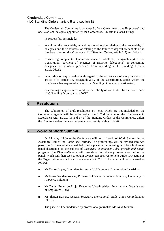## <span id="page-12-0"></span>**Credentials Committee**

(ILC Standing Orders, article 5 and section B)

The Credentials Committee is composed of one Government, one Employers' and one Workers' delegate, appointed by the Conference. It meets in closed sittings.

Its responsibilities include:

- examining the credentials, as well as any objection relating to the credentials, of delegates and their advisers, or relating to the failure to deposit credentials of an Employers' or Workers' delegate (ILC Standing Orders, article 5(2) and 26bis);
- considering complaints of non-observance of article 13, paragraph  $2(a)$ , of the Constitution (payment of expenses of tripartite delegations) or concerning delegates or advisers prevented from attending (ILC Standing Orders, article 26ter);
- monitoring of any situation with regard to the observance of the provisions of article 3 or article 13, paragraph 2(a), of the Constitution, about which the Conference has requested a report (ILC Standing Orders, article 26quater);
- determining the quorum required for the validity of votes taken by the Conference (ILC Standing Orders, article 20(1)).

## <span id="page-12-1"></span>**6. Resolutions**

The submission of draft resolutions on items which are not included on the Conference agenda will be addressed at the 102nd Session of the Conference in accordance with articles 15 and 17 of the Standing Orders of the Conference, unless the Conference determines otherwise in conformity with article 76.

## <span id="page-12-2"></span>**7. World of Work Summit**

On Monday, 17 June, the Conference will hold a World of Work Summit in the Assembly Hall of the *Palais des Nations*. The proceedings will be divided into two parts: the first, tentatively scheduled to take place in the morning, will be a high-level panel discussion on the subject of *Restoring confidence: Jobs, growth and social progress*. The Director-General will provide an introductory presentation before the panel, which will then seek to obtain diverse perspectives to help guide ILO action as the Organization works towards its centenary in 2019. The panel will be composed as follows:

- Mr Carlos Lopes, Executive Secretary, UN Economic Commission for Africa;
- Mr Frank Vandenbroucke, Professor of Social Economic Analysis, University of Antwerp, Belgium;
- Mr Daniel Funes de Rioja, Executive Vice-President, International Organisation of Employers (IOE);
- Ms Sharan Burrow, General Secretary, International Trade Union Confederation (ITUC).

The panel will be moderated by professional journalist, Ms Anya Sitaram.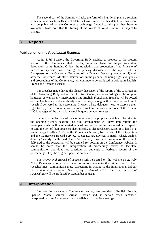The second part of the Summit will take the form of a high-level plenary session, with interventions from Heads of State or Government. Further details on this event will be published on the Conference web page (www.ilo.org/ilc) as they become available. Please note that the timing of the World of Work Summit is subject to change.

## <span id="page-13-0"></span>**8. Reports**

## <span id="page-13-1"></span>**Publication of the** *Provisional Records*

At its 317th Session, the Governing Body decided to propose to the present session of the Conference, that it defer, on a trial basis and subject to certain derogations of its Standing Orders, the translation and production of the *Provisional Record* of speeches made during the plenary discussion of the reports of the Chairperson of the Governing Body and of the Director-General (agenda item I) until after the Conference. All other interventions in the plenary, including high-level guests and proceedings of the Conference, will continue to be produced in writing in English, French and Spanish as usual.

For speeches made during the plenary discussion of the reports of the Chairperson of the Governing Body and of the Director-General, audio recordings in the original language, as well as any interpretation into English, French and Spanish, will be posted on the Conference website shortly after delivery, along with a copy of each such speech if delivered to the secretariat. In cases where delegates need to exercise their right to reply, the secretariat will provide a written translation into one of the official ILO languages of the particular speech in question upon request.

Subject to the decision of the Conference on this proposal, which will be taken in the opening plenary session, this pilot arrangement will have implications for participants, who will be requested, at least one day before they are scheduled to speak, to send the text of their speeches electronically to ilcspeeches@ilo.org, or to hand in a printed copy to office A.561 at the *Palais des Nations*, for the use of the interpreters and the Conference Record Service. Delegates are advised to mark "Check against delivery" clearly on the text itself. Alternatively, any paper version of the speech delivered to the secretariat will be scanned for posting on the Conference website. It should be noted that the interpretation of proceedings serves to facilitate communication and does not constitute an authentic or verbatim record of the proceedings. Only the original speech is authentic.

The *Provisional Record* of speeches will be posted on the website on 22 July 2013. Delegates who wish to have corrections made to the printed text of their speeches must communicate these corrections in writing to the International Labour Office (Conference Record Service) by 5 August 2013. The final *Record of Proceedings* will be produced by September as usual.

## <span id="page-13-2"></span>**9. Interpretation**

Interpretation services at Conference meetings are provided in English, French, Spanish, Arabic, Chinese, German, Russian and, in certain cases, Japanese. Interpretation from Portuguese is also available in tripartite meetings.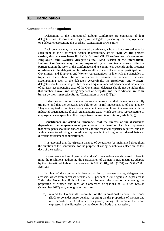## <span id="page-14-0"></span>**10. Participation**

#### <span id="page-14-1"></span>**Composition of delegations**

Delegations to the International Labour Conference are composed of **four** delegates: **two** Government delegates, **one** delegate representing the Employers and **one** delegate representing the Workers (Constitution, article 3(1)).

Each delegate may be accompanied by advisers, who shall not exceed two for each item on the Conference agenda (Constitution, article 3(2)). **At the present session, this concerns items III, IV, V, VI and VII. Therefore, each Government, Employers' and Workers' delegate to the 102nd Session of the International Labour Conference may be accompanied by up to ten advisers.** Effective participation in the work of the Conference and its committees depends on the presence of advisers in the delegations. In order to allow for a full and equal participation of Government and Employer and Worker representatives, in line with the principles of tripartism, there should be no imbalance as between the number of advisers accompanying each of the delegates. Accordingly, the Employers' and Workers' delegates should, as far as possible, have an equal number of advisers, and the number of advisers accompanying each of the Government delegates should not be higher than that number. **Travel and living expenses of delegates and their advisers are to be borne by their respective States** (Constitution, article 13(2)(a)).

Under the Constitution, member States shall ensure that their delegations are fully tripartite, and that the delegates are able to act in full independence of one another. They are required to nominate non-government delegates chosen in agreement with the industrial organizations, if such organizations exist, which are most representative of employers or workpeople in their respective countries (Constitution, article 3(5)).

**Constituents are asked to remember that the success of the discussions depends on the competencies of participants.** It is therefore of critical importance that participants should be chosen not only for the technical expertise required, but also with a view to adopting a coordinated approach, involving action shared between different government administrations.

It is essential that the tripartite balance of delegations be maintained throughout the duration of the Conference, for the purpose of voting, which takes place on the last days of the session.

Governments and employers' and workers' organizations are also asked to bear in mind the resolutions addressing the participation of women in ILO meetings, adopted by the International Labour Conference at its 67th (1981), 78th (1991) and 98th (2009) Sessions.

In view of the continuingly low proportion of women among delegates and advisers, which even decreased recently (26.6 per cent in 2012 against 28.5 per cent in 2009) the Governing Body of the ILO discussed the question concerning the proportion of women and men on Conference delegations at its 316th Session (November 2012) and, among other measures:

(a) invited the Credentials Committee of the International Labour Conference (ILC) to consider more detailed reporting on the proportion of women and men accredited in Conference delegations, taking into account the views expressed in the discussion by the Governing Body at that session;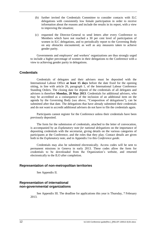- (b) further invited the Credentials Committee to consider contacts with ILC delegations with consistently low female participation in order to receive information about the reasons and include the results in its report, with a view to improving the situation;
- (c) requested the Director-General to send letters after every Conference to Members which have not reached a 30 per cent level of participation of women in ILC delegations, and to periodically report to the Governing Body on any obstacles encountered, as well as any measures taken to achieve gender parity.

Governments and employers' and workers' organizations are thus strongly urged to include a higher percentage of women in their delegations to the Conference with a view to achieving gender parity in delegations.

## <span id="page-15-0"></span>**Credentials**

Credentials of delegates and their advisers must be deposited with the International Labour Office **at least 15 days** before the date fixed for the opening sitting, in line with article 26, paragraph 1, of the International Labour Conference Standing Orders. The closing date for deposit of the credentials of all delegates and advisers is therefore **Monday, 20 May 2013**. Credentials for additional advisers, who may be accredited as a consequence of the inclusion of an additional item on the agenda by the Governing Body (see above, "Composition of delegations"), can be submitted after that date. The delegations that have already submitted their credentials and do not want to accredit additional advisers do not have to file the credentials again.

Participants cannot register for the Conference unless their credentials have been previously deposited.

The form for the submission of credentials, attached to the letter of convocation, is accompanied by an *Explanatory note for national delegations* on the importance of depositing credentials with the secretariat, giving details on the various categories of participants at the Conference, and the roles that they play. Contact details are given both in the *Explanatory note*, and in Appendix I to this *Conference guide*.

Credentials may also be submitted electronically. Access codes will be sent to permanent missions in Geneva in early 2013. These codes allow the form for credentials to be downloaded from the Organization's website, and returned electronically to the ILO after completion.

## <span id="page-15-1"></span>**Representation of non-metropolitan territories**

See Appendix II.

## <span id="page-15-2"></span>**Representation of international non-governmental organizations**

See Appendix III. The deadline for applications this year is Thursday, 7 February 2013.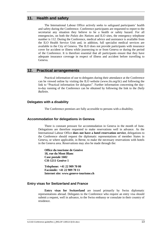## <span id="page-16-0"></span>**11. Health and safety**

The International Labour Office actively seeks to safeguard participants' health and safety during the Conference. Conference participants are requested to report to the secretariat any situation they believe to be a health or safety hazard. For all emergencies, on both the *Palais des Nations* and ILO sites, the emergency telephone number is 112. During the Conference, medical advice and assistance is available from the ILO Health Service Unit and, in addition, full specialist medical services are available in the City of Geneva. The ILO does not provide participants with insurance cover for accident or illness while journeying to or from Geneva or during the period of the Conference. It is therefore essential that all participants ensure that they have adequate insurance coverage in respect of illness and accident before travelling to Geneva.

## <span id="page-16-1"></span>**12. Practical arrangements**

Practical information of use to delegates during their attendance at the Conference can be viewed online by visiting the ILO website (www.ilo.org/ilc) and following the link to "Practical information for delegates". Further information concerning the dayto-day running of the Conference can be obtained by following the link to the *Daily Bulletin*.

## <span id="page-16-2"></span>**Delegates with a disability**

The Conference premises are fully accessible to persons with a disability.

## <span id="page-16-3"></span>**Accommodation for delegations in Geneva**

There is constant pressure for accommodation in Geneva in the month of June. Delegations are therefore requested to make reservations well in advance. As the International Labour Office **does not have a hotel reservation service**, delegations to the Conference should request the diplomatic representations of member States in Geneva, or where applicable, in Berne, to make the necessary reservations with hotels in the Geneva area. Reservations may also be made through the:

**Office du tourisme de Genève 18, rue du Mont Blanc Case postale 1602 CH-1211 Genève 1**

**Telephone: +41 22 909 70 00 Facsimile: +41 22 909 70 11 Internet site: www.geneve-tourisme.ch**

## <span id="page-16-4"></span>**Entry visas for Switzerland and France**

**Entry visas for Switzerland** are issued primarily by Swiss diplomatic representations abroad. Delegates to the Conference who require an entry visa should submit a request, well in advance, to the Swiss embassy or consulate in their country of residence.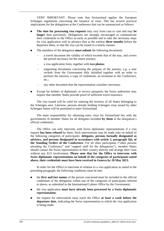VERY IMPORTANT: Please note that Switzerland applies the European Schengen regulations concerning the issuance of visas. This has several practical implications for the delegations at the Conference that can be summarized as follows:

- **The time for processing visa requests** may vary from case to case and may be **longer** than previously. Delegations are strongly encouraged to communicate their credentials to the Office as early as possible and to take the necessary steps for visa application well in advance (but at the earliest **three months** before the departure date), so that the visa can be issued in a timely manner.
- The members of the delegation **must submit** the following documents:
	- a travel document the validity of which exceeds that of the stay, and covers the period necessary for the return journey;
	- a visa application form, together with **two photos**;
	- supporting documents concerning the purpose of the journey, e.g. a *note verbale* from the Government duly initialled together with an order to perform the mission, a copy of credentials, an invitation to the Conference, etc.;
	- any other document that the representation considers necessary.
- Except for holders of diplomatic or service passports, the Swiss authorities may require that member States provide proof of sufficient travel insurance.

The visa issued will be valid for entering the territory of all States belonging to the Schengen area. Likewise, persons already holding Schengen visas issued by other Schengen States will be permitted to enter Switzerland.

The main responsibility for obtaining entry visas for Switzerland lies with the governments of member States for all delegates included **by them** in the delegation's official credentials.

The Office can only intervene with Swiss diplomatic representations if a visa request **has been refused** by them. Such interventions may be made only on behalf of the following categories of participants: **delegates, persons formally designated as advisers, and persons designated in accordance with article 2, paragraph 3(i), of the Standing Orders of the Conference**. For all other participants ("other persons attending the Conference" and "support staff for the delegations"), member States should contact the Swiss representation in their country directly and arrange their visas without any ILO involvement. **Please note that for the Office to intervene with Swiss diplomatic representations on behalf of the categories of participants noted above, their credentials must have been received in Geneva by 20 May 2013.**

In order for the Office to intervene in relation to a visa application as stated in the preceding paragraph, the following conditions must be met:

- the **first and last names** of the person concerned must be included in the official credentials of the delegation within one of the categories of participants referred to above, as submitted to the International Labour Office by the Government;
- the visa application **must have already been processed by a Swiss diplomatic representation**;
- the request for intervention must reach the Office **at least a week before the departure date**, indicating the Swiss representation to which the visa application is being made.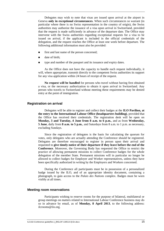Delegates may wish to note that visas are issued upon arrival at the airport in Geneva **only in exceptional circumstances**. When such circumstances so warrant (in particular where there is no Swiss representation in the country of origin), the Swiss authorities may authorize the issuance of a visa upon arrival in Switzerland, provided that the request is made sufficiently in advance of the departure date. The Office may intervene with the Swiss authorities regarding exceptional requests for a visa to be issued on arrival, if the applicant is included in the official credentials of the delegation, and the request reaches the Office at least one week before departure. The following additional information must also be provided:

- first and last name of the person concerned;
- date of birth;
- type and number of the passport and its issuance and expiry dates.

As the Office does not have the capacity to handle each request individually, it will, where appropriate, transmit directly to the competent Swiss authorities its support for any visa application within 24 hours of receipt of the request.

**No request will be handled** for persons who travel without having first obtained a visa, or the necessary authorization to obtain it upon arrival in Switzerland. Any person who travels to Switzerland without meeting these requirements may be denied entry at the point of immigration.

#### <span id="page-18-0"></span>**Registration on arrival**

Delegates will be able to register and collect their badges at the **ILO Pavilion, at the entry to the International Labour Office (headquarters building)**, provided that the Office has received their credentials. The registration desk will be open on **Monday, 3 and Tuesday, 4 June from 8 a.m. to 6 p.m.**, and as from **Wednesday, 5 June**, daily from **8 a.m. to 5 p.m.**, and Saturdays from 8 a.m. to 1 p.m. as necessary, excluding Sundays.

Since the registration of delegates is the basis for calculating the quorum for votes, only delegates who are actually attending the Conference should be registered. Delegates are therefore encouraged to register in person upon their arrival and requested to **give timely notice of their departure if they leave before the end of the Conference**. Moreover, the Governing Body has requested the Office to restrict the practice of allowing permanent missions to collect Conference badges for the whole delegation of the member State. Permanent missions will in particular no longer be allowed to collect badges for Employer and Worker representatives, unless they have been specifically authorized in writing by the Employers and Workers concerned.

During the Conference all participants must be in possession of a personalized badge issued by the ILO, and of an appropriate identity document, containing a photograph, to gain access to the *Palais des Nations* complex. Badges must be worn visibly at all times.

#### <span id="page-18-1"></span>**Meeting room reservations**

Participants wishing to reserve rooms for the purpose of bilateral, multilateral or group meetings on matters related to International Labour Conference business may do so in advance by email, as of **Monday, 8 April 2013**, to the following address: ilcrooms@ilo.org.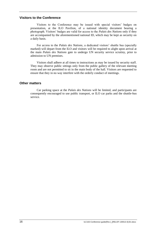#### <span id="page-19-0"></span>**Visitors to the Conference**

Visitors to the Conference may be issued with special visitors' badges on presentation, at the ILO Pavilion, of a national identity document bearing a photograph. Visitors' badges are valid for access to the *Palais des Nations* only if they are accompanied by the aforementioned national ID, which may be kept as security on a daily basis.

For access to the *Palais des Nations*, a dedicated visitors' shuttle bus (specially marked) will depart from the ILO and visitors will be required to alight upon arrival at the main *Palais des Nations* gate to undergo UN security service scrutiny, prior to admission to UN premises.

Visitors shall adhere at all times to instructions as may be issued by security staff. They may observe public sittings only from the public gallery of the relevant meeting room and are not permitted to sit in the main body of the hall. Visitors are requested to ensure that they in no way interfere with the orderly conduct of meetings.

## <span id="page-19-1"></span>**Other matters**

Car parking space at the *Palais des Nations* will be limited, and participants are consequently encouraged to use public transport, or ILO car parks and the shuttle-bus service.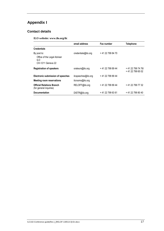# <span id="page-20-0"></span>**Appendix I**

## <span id="page-20-1"></span>**Contact details**

**ILO website: www.ilo.org/ilc**

|                                                                        | email address       | Fax number        | <b>Telephone</b>                      |
|------------------------------------------------------------------------|---------------------|-------------------|---------------------------------------|
| <b>Credentials</b>                                                     |                     |                   |                                       |
| By post to:<br>Office of the Legal Adviser<br>ILO<br>CH-1211 Geneva 22 | credentials@ilo.org | +41 22 799 84 70  |                                       |
| <b>Registration of speakers</b>                                        | orateurs@ilo.org    | +41 22 799 89 44  | +41 22 799 74 76/<br>+41 22 799 65 02 |
| <b>Electronic submission of speeches</b>                               | ilcspeeches@ilo.org | +41 22 799 89 44  |                                       |
| <b>Meeting room reservations</b>                                       | ilcrooms@ilo.org    |                   |                                       |
| <b>Official Relations Branch</b><br>(for general inquiries)            | RELOFF@ilo.org      | +41 22 799 89 44  | + 41 22 799 77 32                     |
| <b>Documentation</b>                                                   | DISTR@ilo.org       | + 41 22 799 63 61 | + 41 22 799 80 40                     |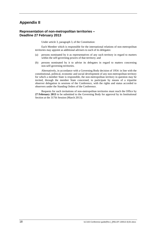## <span id="page-21-0"></span>**Appendix II**

## **Representation of non-metropolitan territories – Deadline 27 February 2013**

Under article 3, paragraph 3, of the Constitution:

Each Member which is responsible for the international relations of non-metropolitan territories may appoint as additional advisers to each of its delegates:

- (a) persons nominated by it as representatives of any such territory in regard to matters within the self-governing powers of that territory; and
- (b) persons nominated by it to advise its delegates in regard to matters concerning non-self-governing territories.

Alternatively, in accordance with a Governing Body decision of 1954: in line with the constitutional, political, economic and social development of any non-metropolitan territory for which a member State is responsible, the non-metropolitan territory in question may be invited, through the member State concerned, to participate by means of a tripartite observer delegation in sessions of the Conference, with the rights and status accorded to observers under the Standing Orders of the Conference.

Requests for such invitations of non-metropolitan territories must reach the Office by **27 February 2013** to be submitted to the Governing Body for approval by its Institutional Section at the 317th Session (March 2013).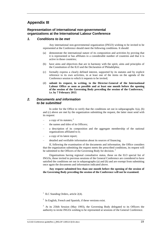## <span id="page-22-0"></span>**Appendix III**

## **Representation of international non-governmental organizations at the International Labour Conference**

## *1. Conditions to be met*

Any international non-governmental organization (INGO) wishing to be invited to be represented at the Conference should meet the following conditions. It should:

- demonstrate the international nature of its composition and activities by proving that it is represented or has affiliates in a considerable number of countries and that it is active in those countries;
- (b) have aims and objectives that are in harmony with the spirit, aims and principles of the Constitution of the ILO and the Declaration of Philadelphia;
- (c) formally express a clearly defined interest, supported by its statutes and by explicit reference to its own activities, in at least one of the items on the agenda of the Conference session to which it requests to be invited;
- (d) **submit its request, in writing, to the Director-General of the International Labour Office as soon as possible and at least one month before the opening of the session of the Governing Body preceding the session of the Conference,** <sup>1</sup> **i.e. by 7 February 2013**.

## *2. Documents and information to be submitted*

In order for the Office to verify that the conditions set out in subparagraphs  $1(a)$ , (b) and (c) above are met by the organization submitting the request, the latter must send with its request:

- a copy of its statutes;  $<sup>2</sup>$ </sup>
- the names and titles of its Officers:
- a description of its composition and the aggregate membership of the national organizations affiliated to it;
- a copy of its latest report;
- detailed and verifiable information about its sources of financing.

If, following the examination of the documents and information, the Office considers that the organization submitting the request meets the prescribed conditions, its request will be submitted to the Officers of the Governing Body for decision.<sup>3</sup>

Organizations having regional consultative status, those on the ILO special list of INGOs, those invited to previous sessions of the General Conference are considered to have satisfied the conditions set out in subparagraphs (a) and (b) and are exempt from submitting once again the documents and information indicated above.

**Any request submitted less than one month before the opening of the session of the Governing Body preceding the session of the Conference will not be examined.**

<sup>&</sup>lt;sup>1</sup> ILC Standing Orders, article 2(4).

 $2\;$  In English, French and Spanish, if these versions exist.

<sup>&</sup>lt;sup>3</sup> At its 256th Session (May 1993), the Governing Body delegated to its Officers the authority to invite INGOs wishing to be represented at sessions of the General Conference.